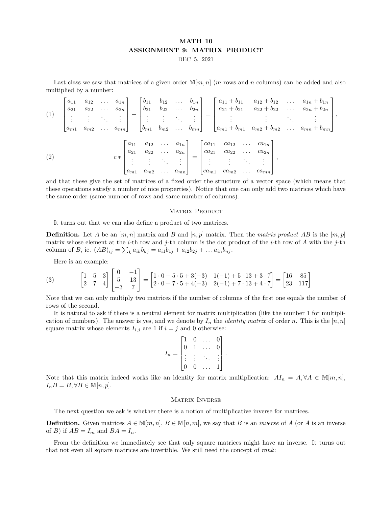## MATH 10 ASSIGNMENT 9: MATRIX PRODUCT

DEC 5, 2021

Last class we saw that matrices of a given order  $\mathbb{M}[m,n]$  (m rows and n columns) can be added and also multiplied by a number:

$$
(1) \begin{bmatrix} a_{11} & a_{12} & \dots & a_{1n} \\ a_{21} & a_{22} & \dots & a_{2n} \\ \vdots & \vdots & \ddots & \vdots \\ a_{m1} & a_{m2} & \dots & a_{mn} \end{bmatrix} + \begin{bmatrix} b_{11} & b_{12} & \dots & b_{1n} \\ b_{21} & b_{22} & \dots & b_{2n} \\ \vdots & \vdots & \ddots & \vdots \\ b_{m1} & b_{m2} & \dots & b_{mn} \end{bmatrix} = \begin{bmatrix} a_{11} + b_{11} & a_{12} + b_{12} & \dots & a_{1n} + b_{1n} \\ a_{21} + b_{21} & a_{22} + b_{22} & \dots & a_{2n} + b_{2n} \\ \vdots & \vdots & \ddots & \vdots \\ a_{m1} + b_{m1} & a_{m2} + b_{m2} & \dots & a_{mn} + b_{mn} \end{bmatrix},
$$

$$
(2) \qquad c* \begin{bmatrix} a_{11} & a_{12} & \dots & a_{1n} \\ a_{21} & a_{22} & \dots & a_{2n} \\ \vdots & \vdots & \ddots & \vdots \\ a_{m1} & a_{m2} & \dots & a_{mn} \end{bmatrix} = \begin{bmatrix} ca_{11} & ca_{12} & \dots & ca_{1n} \\ ca_{21} & ca_{22} & \dots & ca_{2n} \\ \vdots & \vdots & \ddots & \vdots \\ ca_{m1} & ca_{m2} & \dots & ca_{mn} \end{bmatrix},
$$

and that these give the set of matrices of a fixed order the structure of a vector space (which means that these operations satisfy a number of nice properties). Notice that one can only add two matrices which have the same order (same number of rows and same number of columns).

## MATRIX PRODUCT

It turns out that we can also define a product of two matrices.

**Definition.** Let A be an  $[m, n]$  matrix and B and  $[n, p]$  matrix. Then the matrix product AB is the  $[m, p]$ matrix whose element at the *i*-th row and *j*-th column is the dot product of the *i*-th row of A with the *j*-th column of B, ie.  $(AB)_{ij} = \sum_k a_{ik} b_{kj} = a_{i1}b_{1j} + a_{i2}b_{2j} + \dots a_{in}b_{nj}$ .

Here is an example:

(3) 
$$
\begin{bmatrix} 1 & 5 & 3 \ 2 & 7 & 4 \end{bmatrix} \begin{bmatrix} 0 & -1 \ 5 & 13 \ -3 & 7 \end{bmatrix} = \begin{bmatrix} 1 \cdot 0 + 5 \cdot 5 + 3(-3) & 1(-1) + 5 \cdot 13 + 3 \cdot 7 \ 2 \cdot 0 + 7 \cdot 5 + 4(-3) & 2(-1) + 7 \cdot 13 + 4 \cdot 7 \end{bmatrix} = \begin{bmatrix} 16 & 85 \ 23 & 117 \end{bmatrix}
$$

Note that we can only multiply two matrices if the number of columns of the first one equals the number of rows of the second.

It is natural to ask if there is a neutral element for matrix multiplication (like the number 1 for multiplication of numbers). The answer is yes, and we denote by  $I_n$  the *identity matrix* of order n. This is the  $[n, n]$ square matrix whose elements  $I_{i,j}$  are 1 if  $i = j$  and 0 otherwise:

$$
I_n = \begin{bmatrix} 1 & 0 & \dots & 0 \\ 0 & 1 & \dots & 0 \\ \vdots & \vdots & \ddots & \vdots \\ 0 & 0 & \dots & 1 \end{bmatrix}
$$

.

Note that this matrix indeed works like an identity for matrix multiplication:  $A I_n = A, \forall A \in \mathbb{M}[m, n],$  $I_nB = B, \forall B \in \mathbb{M}[n, p].$ 

## MATRIX INVERSE

The next question we ask is whether there is a notion of multiplicative inverse for matrices.

**Definition.** Given matrices  $A \in \mathbb{M}[m,n]$ ,  $B \in \mathbb{M}[n,m]$ , we say that B is an *inverse* of A (or A is an inverse of *B*) if  $AB = I_m$  and  $BA = I_n$ .

From the definition we immediately see that only square matrices might have an inverse. It turns out that not even all square matrices are invertible. We still need the concept of rank: